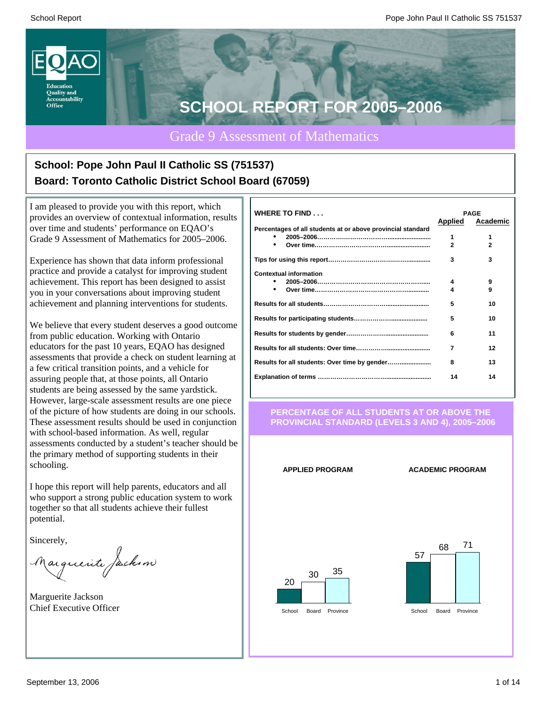

### Grade 9 Assessment of Mathematics

## **School: Pope John Paul II Catholic SS (751537) Board: Toronto Catholic District School Board (67059)**

I am pleased to provide you with this report, which provides an overview of contextual information, results over time and students' performance on EQAO's Grade 9 Assessment of Mathematics for 2005–2006.

Experience has shown that data inform professional practice and provide a catalyst for improving student achievement. This report has been designed to assist you in your conversations about improving student achievement and planning interventions for students.

We believe that every student deserves a good outcome from public education. Working with Ontario educators for the past 10 years, EQAO has designed assessments that provide a check on student learning at a few critical transition points, and a vehicle for assuring people that, at those points, all Ontario students are being assessed by the same yardstick. However, large-scale assessment results are one piece of the picture of how students are doing in our schools. These assessment results should be used in conjunction with school-based information. As well, regular assessments conducted by a student's teacher should be the primary method of supporting students in their schooling.

I hope this report will help parents, educators and all who support a strong public education system to work together so that all students achieve their fullest potential.

Sincerely,

Marguerite Jackson

Marguerite Jackson Chief Executive Officer

| <b>WHERE TO FIND</b>                                        | Applied      | <b>PAGE</b><br>Academic |
|-------------------------------------------------------------|--------------|-------------------------|
| Percentages of all students at or above provincial standard |              |                         |
|                                                             | 1            | 1                       |
| $\bullet$                                                   | $\mathbf{2}$ | $\mathbf{2}$            |
|                                                             | 3            | 3                       |
| <b>Contextual information</b>                               |              |                         |
|                                                             | 4            | 9                       |
|                                                             |              | 9                       |
|                                                             | 5            | 10                      |
|                                                             | 5            | 10                      |
|                                                             | 6            | 11                      |
|                                                             | 7            | 12                      |
|                                                             | 8            | 13                      |
|                                                             | 14           | 14                      |
|                                                             |              |                         |

#### **PERCENTAGE OF ALL STUDENTS AT OR ABOVE THE PROVINCIAL STANDARD (LEVELS 3 AND 4), 2005–2006**

**APPLIED PROGRAM ACADEMIC PROGRAM**

20 30  $35$ 

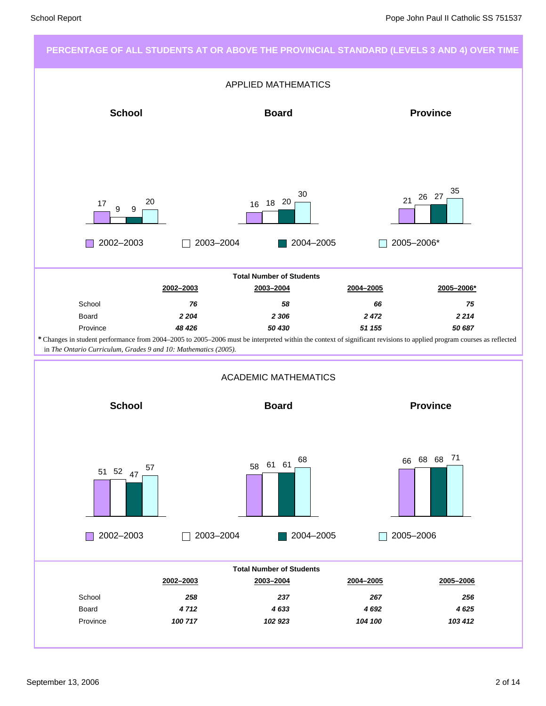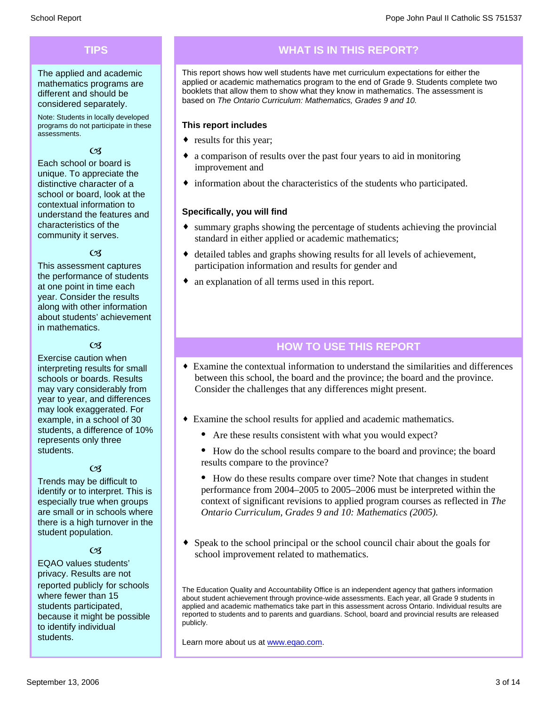### **TIPS**

The applied and academic mathematics programs are different and should be considered separately.

Note: Students in locally developed programs do not participate in these assessments.

#### $\alpha$

Each school or board is unique. To appreciate the distinctive character of a school or board, look at the contextual information to understand the features and characteristics of the community it serves.

### $\alpha$

This assessment captures the performance of students at one point in time each year. Consider the results along with other information about students' achievement in mathematics.

### $\alpha$

Exercise caution when interpreting results for small schools or boards. Results may vary considerably from year to year, and differences may look exaggerated. For example, in a school of 30 students, a difference of 10% represents only three students.

#### $\alpha$

Trends may be difficult to identify or to interpret. This is especially true when groups are small or in schools where there is a high turnover in the student population.

### $C<sub>3</sub>$

EQAO values students' privacy. Results are not reported publicly for schools where fewer than 15 students participated, because it might be possible to identify individual students.

### **WHAT IS IN THIS REPORT?**

This report shows how well students have met curriculum expectations for either the applied or academic mathematics program to the end of Grade 9. Students complete two booklets that allow them to show what they know in mathematics. The assessment is based on *The Ontario Curriculum: Mathematics, Grades 9 and 10.*

#### **This report includes**

- results for this year;
- a comparison of results over the past four years to aid in monitoring improvement and
- $\bullet$  information about the characteristics of the students who participated.

### **Specifically, you will find**

- $\bullet$  summary graphs showing the percentage of students achieving the provincial standard in either applied or academic mathematics;
- detailed tables and graphs showing results for all levels of achievement, participation information and results for gender and
- $\bullet$  an explanation of all terms used in this report.

### **HOW TO USE THIS REPORT**

- Examine the contextual information to understand the similarities and differences between this school, the board and the province; the board and the province. Consider the challenges that any differences might present.
- Examine the school results for applied and academic mathematics.
	- Are these results consistent with what you would expect?
	- · How do the school results compare to the board and province; the board results compare to the province?
	- · How do these results compare over time? Note that changes in student performance from 2004–2005 to 2005–2006 must be interpreted within the context of significant revisions to applied program courses as reflected in *The Ontario Curriculum, Grades 9 and 10: Mathematics (2005).*
- Speak to the school principal or the school council chair about the goals for school improvement related to mathematics.

The Education Quality and Accountability Office is an independent agency that gathers information about student achievement through province-wide assessments. Each year, all Grade 9 students in applied and academic mathematics take part in this assessment across Ontario. Individual results are reported to students and to parents and guardians. School, board and provincial results are released publicly.

Learn more about us at www.eqao.com.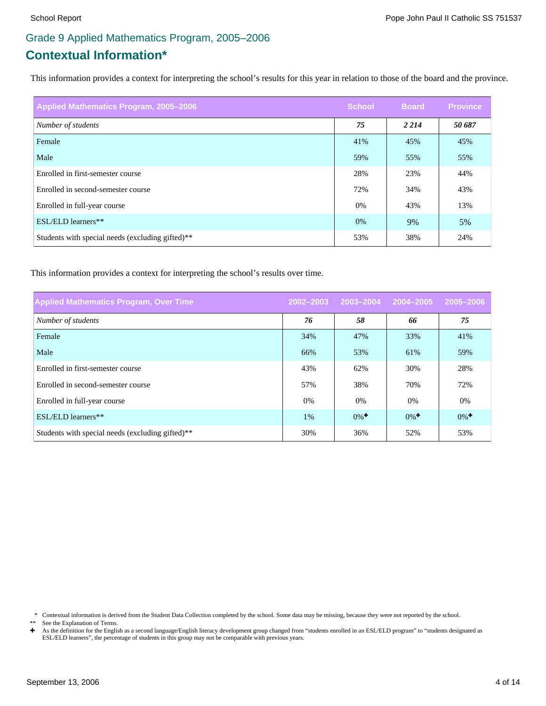## **Contextual Information\*** Grade 9 Applied Mathematics Program, 2005–2006

This information provides a context for interpreting the school's results for this year in relation to those of the board and the province.

| Applied Mathematics Program, 2005-2006           | <b>School</b> | <b>Board</b> | <b>Province</b> |
|--------------------------------------------------|---------------|--------------|-----------------|
| Number of students                               | 75            | 2 2 1 4      | 50 687          |
| Female                                           | 41%           | 45%          | 45%             |
| Male                                             | 59%           | 55%          | 55%             |
| Enrolled in first-semester course                | 28%           | 23%          | 44%             |
| Enrolled in second-semester course               | 72%           | 34%          | 43%             |
| Enrolled in full-year course                     | 0%            | 43%          | 13%             |
| ESL/ELD learners**                               | 0%            | 9%           | 5%              |
| Students with special needs (excluding gifted)** | 53%           | 38%          | 24%             |

This information provides a context for interpreting the school's results over time.

| <b>Applied Mathematics Program, Over Time</b>                | 2002-2003 | 2003-2004          | 2004-2005          | 2005-2006          |
|--------------------------------------------------------------|-----------|--------------------|--------------------|--------------------|
| Number of students                                           | 76        | 58                 | 66                 | 75                 |
| Female                                                       | 34%       | 47%                | 33%                | 41%                |
| Male                                                         | 66%       | 53%                | 61%                | 59%                |
| Enrolled in first-semester course                            | 43%       | 62%                | 30%                | 28%                |
| Enrolled in second-semester course                           | 57%       | 38%                | 70%                | 72%                |
| Enrolled in full-year course                                 | $0\%$     | $0\%$              | $0\%$              | 0%                 |
| ESL/ELD learners**                                           | 1%        | $0\%$ <sup>+</sup> | $0\%$ <sup>+</sup> | $0\%$ <sup>+</sup> |
| Students with special needs (excluding gifted) <sup>**</sup> | 30%       | 36%                | 52%                | 53%                |

\* Contextual information is derived from the Student Data Collection completed by the school. Some data may be missing, because they were not reported by the school.

\*\* See the Explanation of Terms.<br> $\div$  As the definition for the English

As the definition for the English as a second language/English literacy development group changed from "students enrolled in an ESL/ELD program" to "students designated as ESL/ELD learners", the percentage of students in this group may not be comparable with previous years.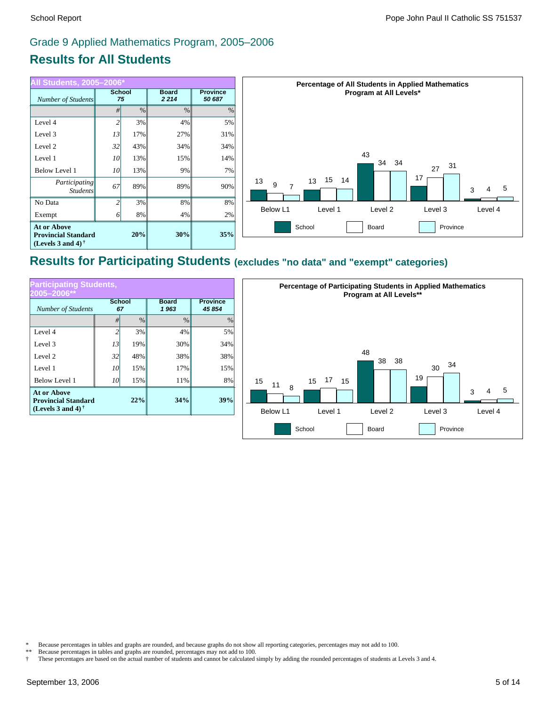### **Results for All Students** Grade 9 Applied Mathematics Program, 2005–2006

| All Students, 2005-2006*                                                 |                     |     |                         |                           | Percentage of All Students in Applied Mathematics                 |  |  |
|--------------------------------------------------------------------------|---------------------|-----|-------------------------|---------------------------|-------------------------------------------------------------------|--|--|
| Number of Students                                                       | <b>School</b><br>75 |     | <b>Board</b><br>2 2 1 4 | <b>Province</b><br>50 687 | Program at All Levels*                                            |  |  |
|                                                                          |                     | %   | %                       | $\%$                      |                                                                   |  |  |
| Level 4                                                                  | 2                   | 3%  | 4%                      | 5%                        |                                                                   |  |  |
| Level 3                                                                  | 13                  | 17% | 27%                     | 31%                       |                                                                   |  |  |
| Level 2                                                                  | 32                  | 43% | 34%                     | 34%                       |                                                                   |  |  |
| Level 1                                                                  | <i>10</i>           | 13% | 15%                     | 14%                       | 43<br>34<br>-34                                                   |  |  |
| <b>Below Level 1</b>                                                     | <i>10</i>           | 13% | 9%                      | 7%                        | 31<br>27                                                          |  |  |
| Participating<br><b>Students</b>                                         | 67                  | 89% | 89%                     | 90%                       | 17<br>15<br>14<br>13<br>13<br>9<br>$\overline{ }$<br>-5<br>4<br>3 |  |  |
| No Data                                                                  |                     | 3%  | 8%                      | 8%                        |                                                                   |  |  |
| Exempt                                                                   |                     | 8%  | 4%                      | 2%                        | Below L1<br>Level 2<br>Level 3<br>Level 4<br>Level 1              |  |  |
| <b>At or Above</b><br><b>Provincial Standard</b><br>(Levels 3 and 4) $†$ |                     | 20% | 30%                     | 35%                       | School<br>Board<br>Province                                       |  |  |

# **Results for Participating Students (excludes "no data" and "exempt" categories)**

| <b>Participating Students,</b><br>2005-2006**                                            |                |               |                      |                           |  |  |  |
|------------------------------------------------------------------------------------------|----------------|---------------|----------------------|---------------------------|--|--|--|
| <b>School</b><br><b>Number of Students</b><br>67                                         |                |               | <b>Board</b><br>1963 | <b>Province</b><br>45 854 |  |  |  |
|                                                                                          | #              | $\frac{0}{0}$ | $\frac{0}{0}$        | $\%$                      |  |  |  |
| Level 4                                                                                  | $\overline{c}$ | 3%            | 4%                   | 5%                        |  |  |  |
| Level 3                                                                                  | 13             | 19%           | 30%                  | 34%                       |  |  |  |
| Level 2                                                                                  | 32             | 48%           | 38%                  | 38%                       |  |  |  |
| Level 1                                                                                  | 10             | 15%           | 17%                  | 15%                       |  |  |  |
| <b>Below Level 1</b>                                                                     | 10             | 15%           | 11%                  | 8%                        |  |  |  |
| <b>At or Above</b><br>22%<br><b>Provincial Standard</b><br>(Levels 3 and 4) $^{\dagger}$ |                |               | 34%                  | 39%                       |  |  |  |



\* Because percentages in tables and graphs are rounded, and because graphs do not show all reporting categories, percentages may not add to 100.

Because percentages in tables and graphs are rounded, percentages may not add to 100.

† These percentages are based on the actual number of students and cannot be calculated simply by adding the rounded percentages of students at Levels 3 and 4.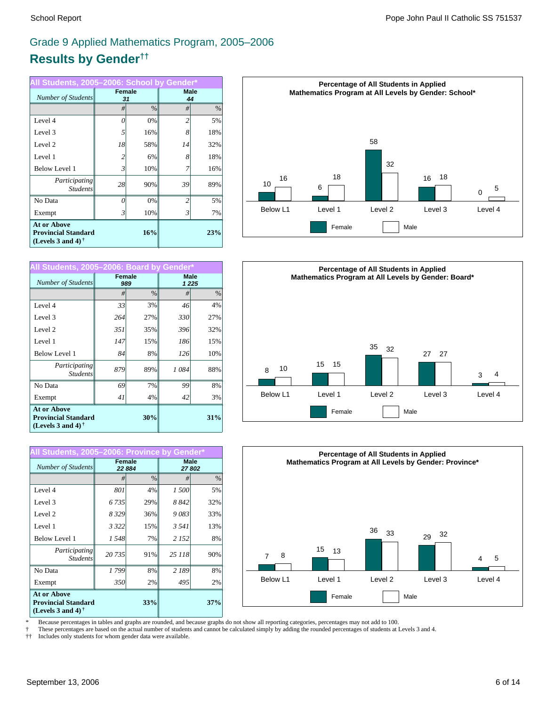# **Results by Gender††** Grade 9 Applied Mathematics Program, 2005–2006

| All Students, 2005-2006: School by Gender*                                                           |                |                     |                |                   |  |  |  |
|------------------------------------------------------------------------------------------------------|----------------|---------------------|----------------|-------------------|--|--|--|
| Number of Students                                                                                   |                | <b>Female</b><br>31 |                | <b>Male</b><br>44 |  |  |  |
|                                                                                                      | #              | $\frac{0}{0}$       | #              | $\%$              |  |  |  |
| Level 4                                                                                              | $\theta$       | 0%                  | $\overline{c}$ | 5%                |  |  |  |
| Level 3                                                                                              | 5              | 16%                 | 8              | 18%               |  |  |  |
| Level 2                                                                                              | 18             | 58%                 | 14             | 32%               |  |  |  |
| Level 1                                                                                              | $\overline{c}$ | 6%                  | 8              | 18%               |  |  |  |
| <b>Below Level 1</b>                                                                                 | 3              | 10%                 |                | 16%               |  |  |  |
| Participating<br><b>Students</b>                                                                     | 28             | 90%                 | 39             | 89%               |  |  |  |
| No Data                                                                                              | $\theta$       | 0%                  | $\overline{c}$ | 5%                |  |  |  |
| Exempt                                                                                               | 3              | 10%                 | 3              | 7%                |  |  |  |
| <b>At or Above</b><br><b>Provincial Standard</b><br>(Levels 3 and 4) <sup><math>\dagger</math></sup> |                | 23%                 |                |                   |  |  |  |

| All Students, 2005-2006: Board by Gender*                                                            |        |      |      |                        |  |  |  |
|------------------------------------------------------------------------------------------------------|--------|------|------|------------------------|--|--|--|
| Number of Students                                                                                   | Female | 989  |      | <b>Male</b><br>1 2 2 5 |  |  |  |
|                                                                                                      | #      | $\%$ | #    | $\%$                   |  |  |  |
| Level 4                                                                                              | 33     | 3%   | 46   | 4%                     |  |  |  |
| Level 3                                                                                              | 264    | 27%  | 330  | 27%                    |  |  |  |
| Level 2                                                                                              | 351    | 35%  | 396  | 32%                    |  |  |  |
| Level 1                                                                                              | 147    | 15%  | 186  | 15%                    |  |  |  |
| <b>Below Level 1</b>                                                                                 | 84     | 8%   | 126  | 10%                    |  |  |  |
| Participating<br><b>Students</b>                                                                     | 879    | 89%  | 1084 | 88%                    |  |  |  |
| No Data                                                                                              | 69     | 7%   | 99   | 8%                     |  |  |  |
| Exempt                                                                                               | 41     | 4%   | 42   | 3%                     |  |  |  |
| <b>At or Above</b><br><b>Provincial Standard</b><br>(Levels 3 and 4) <sup><math>\dagger</math></sup> |        | 31%  |      |                        |  |  |  |

| All Students, 2005-2006: Province by Gender*                                                         |         |                  |         |                      |
|------------------------------------------------------------------------------------------------------|---------|------------------|---------|----------------------|
| Number of Students                                                                                   |         | Female<br>22 884 |         | <b>Male</b><br>27802 |
|                                                                                                      | #       | $\%$             | #       | $\%$                 |
| Level 4                                                                                              | 801     | 4%               | 1500    | 5%                   |
| Level 3                                                                                              | 6 7 3 5 | 29%              | 8842    | 32%                  |
| Level 2                                                                                              | 8329    | 36%              | 9083    | 33%                  |
| Level 1                                                                                              | 3 3 2 2 | 15%              | 3 541   | 13%                  |
| <b>Below Level 1</b>                                                                                 | 1548    | 7%               | 2 1 5 2 | 8%                   |
| Participating<br><b>Students</b>                                                                     | 20735   | 91%              | 25 118  | 90%                  |
| No Data                                                                                              | 1799    | 8%               | 2 189   | 8%                   |
| Exempt                                                                                               | 350     | 2%               | 495     | 2%                   |
| <b>At or Above</b><br><b>Provincial Standard</b><br>(Levels 3 and 4) <sup><math>\dagger</math></sup> |         | 33%              |         | 37%                  |







\* Because percentages in tables and graphs are rounded, and because graphs do not show all reporting categories, percentages may not add to 100.

† These percentages are based on the actual number of students and cannot be calculated simply by adding the rounded percentages of students at Levels 3 and 4.

†† Includes only students for whom gender data were available.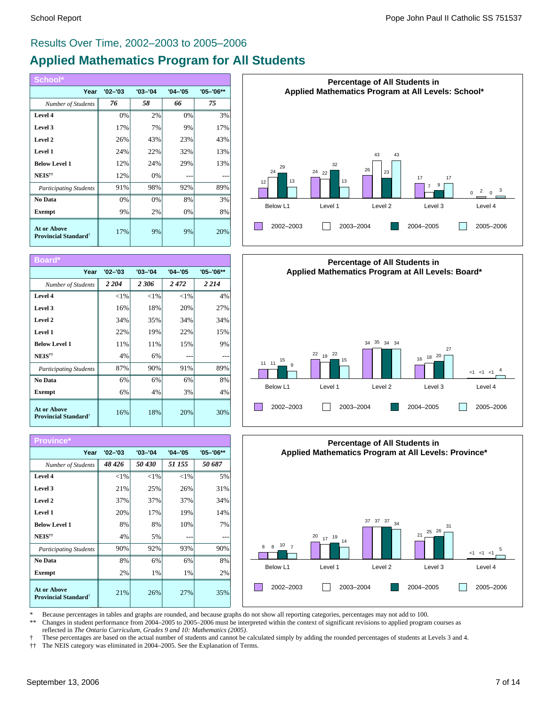# **Applied Mathematics Program for All Students** Results Over Time, 2002–2003 to 2005–2006

| School*                                                       |             |             |             |               |
|---------------------------------------------------------------|-------------|-------------|-------------|---------------|
| Year                                                          | $'02 - '03$ | $'03 - '04$ | $'04 - '05$ | $'05 - '06**$ |
| Number of Students                                            | 76          | 58          | 66          | 75            |
| Level 4                                                       | 0%          | 2%          | 0%          | 3%            |
| Level 3                                                       | 17%         | 7%          | 9%          | 17%           |
| Level 2                                                       | 26%         | 43%         | 23%         | 43%           |
| Level 1                                                       | 24%         | 22%         | 32%         | 13%           |
| <b>Below Level 1</b>                                          | 12%         | 24%         | 29%         | 13%           |
| NEIS <sup>††</sup>                                            | 12%         | 0%          |             |               |
| <b>Participating Students</b>                                 | 91%         | 98%         | 92%         | 89%           |
| No Data                                                       | 0%          | 0%          | 8%          | 3%            |
| <b>Exempt</b>                                                 | 9%          | 2%          | 0%          | 8%            |
| <b>At or Above</b><br><b>Provincial Standard</b> <sup>†</sup> | 17%         | 9%          | 9%          | 20%           |

| Board*                                                        |             |             |             |           |
|---------------------------------------------------------------|-------------|-------------|-------------|-----------|
| Year                                                          | $'02 - '03$ | $'03 - '04$ | $'04 - '05$ | '05-'06** |
| Number of Students                                            | 2 2 0 4     | 2306        | 2472        | 2 2 1 4   |
| Level 4                                                       | ${<}1\%$    | ${<}1\%$    | ${<}1\%$    | 4%        |
| Level 3                                                       | 16%         | 18%         | 20%         | 27%       |
| Level 2                                                       | 34%         | 35%         | 34%         | 34%       |
| Level 1                                                       | 22%         | 19%         | 22%         | 15%       |
| <b>Below Level 1</b>                                          | 11%         | 11%         | 15%         | 9%        |
| NEIS <sup>††</sup>                                            | 4%          | 6%          |             |           |
| <b>Participating Students</b>                                 | 87%         | 90%         | 91%         | 89%       |
| No Data                                                       | 6%          | 6%          | 6%          | 8%        |
| <b>Exempt</b>                                                 | 6%          | 4%          | 3%          | 4%        |
| <b>At or Above</b><br><b>Provincial Standard</b> <sup>†</sup> | 16%         | 18%         | 20%         | 30%       |

| Province*                                                     |             |             |             |           |
|---------------------------------------------------------------|-------------|-------------|-------------|-----------|
| Year                                                          | $'02 - '03$ | $'03 - '04$ | $'04 - '05$ | '05-'06** |
| Number of Students                                            | 48 426      | 50 430      | 51 155      | 50 687    |
| Level 4                                                       | ${<}1\%$    | ${<}1\%$    | ${<}1\%$    | 5%        |
| Level 3                                                       | 21%         | 25%         | 26%         | 31%       |
| Level 2                                                       | 37%         | 37%         | 37%         | 34%       |
| Level 1                                                       | 20%         | 17%         | 19%         | 14%       |
| <b>Below Level 1</b>                                          | 8%          | 8%          | 10%         | 7%        |
| NEIS <sup>††</sup>                                            | 4%          | 5%          |             |           |
| <b>Participating Students</b>                                 | 90%         | 92%         | 93%         | 90%       |
| No Data                                                       | 8%          | 6%          | 6%          | 8%        |
| <b>Exempt</b>                                                 | 2%          | 1%          | 1%          | 2%        |
| <b>At or Above</b><br><b>Provincial Standard</b> <sup>†</sup> | 21%         | 26%         | 27%         | 35%       |







\* Because percentages in tables and graphs are rounded, and because graphs do not show all reporting categories, percentages may not add to 100.<br>\*\* Changes in student performance from 2004, 2005 to 2005, 2006 must be inter

\*\* Changes in student performance from 2004–2005 to 2005–2006 must be interpreted within the context of significant revisions to applied program courses as reflected in *The Ontario Curriculum, Grades 9 and 10: Mathematics (2005)*.

† These percentages are based on the actual number of students and cannot be calculated simply by adding the rounded percentages of students at Levels 3 and 4.

†† The NEIS category was eliminated in 2004–2005. See the Explanation of Terms.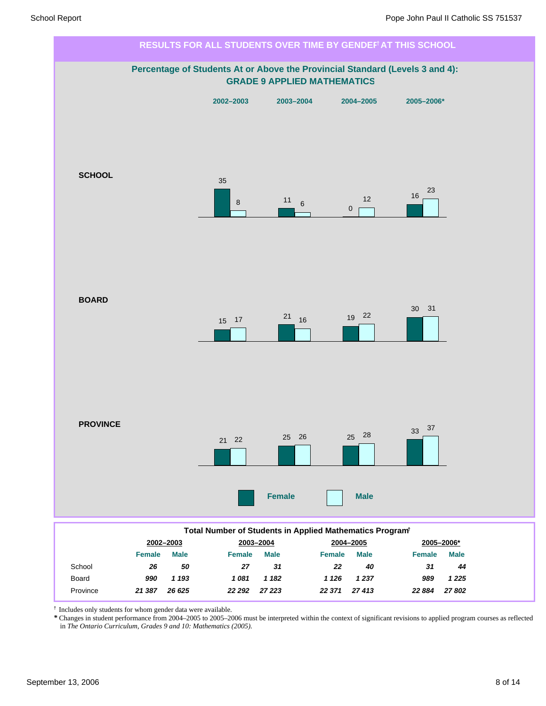

† Includes only students for whom gender data were available.

*\** Changes in student performance from 2004–2005 to 2005–2006 must be interpreted within the context of significant revisions to applied program courses as reflected in *The Ontario Curriculum, Grades 9 and 10: Mathematics (2005).*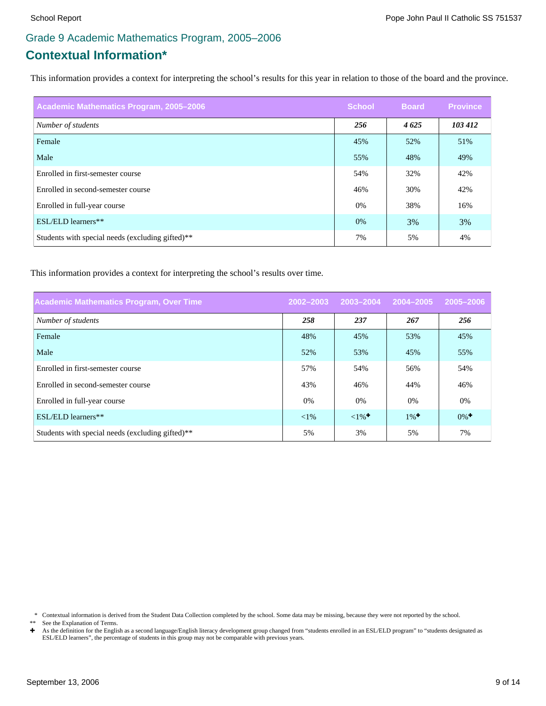# Grade 9 Academic Mathematics Program, 2005–2006

# **Contextual Information\***

This information provides a context for interpreting the school's results for this year in relation to those of the board and the province.

| Academic Mathematics Program, 2005-2006          | <b>School</b> | <b>Board</b> | <b>Province</b> |
|--------------------------------------------------|---------------|--------------|-----------------|
| Number of students                               | 256           | 4625         | 103 412         |
| Female                                           | 45%           | 52%          | 51%             |
| Male                                             | 55%           | 48%          | 49%             |
| Enrolled in first-semester course                | 54%           | 32%          | 42%             |
| Enrolled in second-semester course               | 46%           | 30%          | 42%             |
| Enrolled in full-year course                     | 0%            | 38%          | 16%             |
| ESL/ELD learners**                               | 0%            | 3%           | 3%              |
| Students with special needs (excluding gifted)** | 7%            | 5%           | 4%              |

This information provides a context for interpreting the school's results over time.

| <b>Academic Mathematics Program, Over Time</b>               | 2002-2003 | 2003-2004          | 2004-2005          | 2005-2006          |
|--------------------------------------------------------------|-----------|--------------------|--------------------|--------------------|
| Number of students                                           | 258       | 237                | 267                | 256                |
| Female                                                       | 48%       | 45%                | 53%                | 45%                |
| Male                                                         | 52%       | 53%                | 45%                | 55%                |
| Enrolled in first-semester course                            | 57%       | 54%                | 56%                | 54%                |
| Enrolled in second-semester course                           | 43%       | 46%                | 44%                | 46%                |
| Enrolled in full-year course                                 | $0\%$     | $0\%$              | $0\%$              | 0%                 |
| ESL/ELD learners**                                           | ${<}1\%$  | $1\%$ <sup>+</sup> | $1\%$ <sup>+</sup> | $0\%$ <sup>+</sup> |
| Students with special needs (excluding gifted) <sup>**</sup> | 5%        | 3%                 | 5%                 | 7%                 |

\* Contextual information is derived from the Student Data Collection completed by the school. Some data may be missing, because they were not reported by the school.

\*\* See the Explanation of Terms.<br> $\div$  As the definition for the English

As the definition for the English as a second language/English literacy development group changed from "students enrolled in an ESL/ELD program" to "students designated as ESL/ELD learners", the percentage of students in this group may not be comparable with previous years.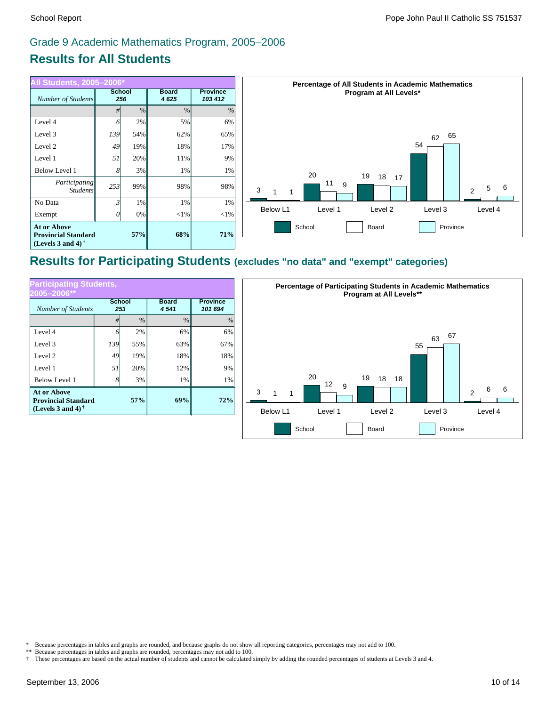# Grade 9 Academic Mathematics Program, 2005–2006

# **Results for All Students**

| All Students, 2005–2006*                                                       |                      |               |                      |          |
|--------------------------------------------------------------------------------|----------------------|---------------|----------------------|----------|
| Number of Students                                                             | <b>School</b><br>256 |               | <b>Board</b><br>4625 |          |
|                                                                                | #                    | $\frac{0}{0}$ | $\frac{0}{0}$        | $\%$     |
| Level 4                                                                        | 6                    | 2%            | 5%                   | 6%       |
| Level 3                                                                        | 139                  | 54%           | 62%                  | 65%      |
| Level 2                                                                        | 49                   | 19%           | 18%                  | 17%      |
| Level 1                                                                        | 51                   | 20%           | 11%                  | 9%       |
| <b>Below Level 1</b>                                                           | 8                    | 3%            | 1%                   | 1%       |
| Participating<br><b>Students</b>                                               | 253                  | 99%           | 98%                  | 98%      |
| No Data                                                                        | $\mathfrak{Z}$       | 1%            | 1%                   | 1%       |
| Exempt                                                                         | 0                    | 0%            | $<$ 1%               | ${<}1\%$ |
| <b>At or Above</b><br><b>Provincial Standard</b><br>(Levels 3 and 4) $\dagger$ |                      | 57%           | 68%                  | 71%      |



## **Results for Participating Students (excludes "no data" and "exempt" categories)**

| <b>Participating Students,</b><br>2005–2006**                                  |     |                      |                      |                            |
|--------------------------------------------------------------------------------|-----|----------------------|----------------------|----------------------------|
| <b>Number of Students</b>                                                      |     | <b>School</b><br>253 | <b>Board</b><br>4541 | <b>Province</b><br>101 694 |
|                                                                                | #   | $\%$                 | $\frac{0}{0}$        | $\%$                       |
| Level 4                                                                        | 6   | 2%                   | 6%                   | 6%                         |
| Level 3                                                                        | 139 | 55%                  | 63%                  | 67%                        |
| Level 2                                                                        | 49  | 19%                  | 18%                  | 18%                        |
| Level 1                                                                        | 51  | 20%                  | 12%                  | 9%                         |
| <b>Below Level 1</b>                                                           | 8   | 3%                   | 1%                   | 1%                         |
| <b>At or Above</b><br><b>Provincial Standard</b><br>(Levels 3 and 4) $\dagger$ |     | 57%                  | 69%                  | 72%                        |



\* Because percentages in tables and graphs are rounded, and because graphs do not show all reporting categories, percentages may not add to 100.

† These percentages are based on the actual number of students and cannot be calculated simply by adding the rounded percentages of students at Levels 3 and 4.

<sup>\*\*</sup> Because percentages in tables and graphs are rounded, percentages may not add to 100.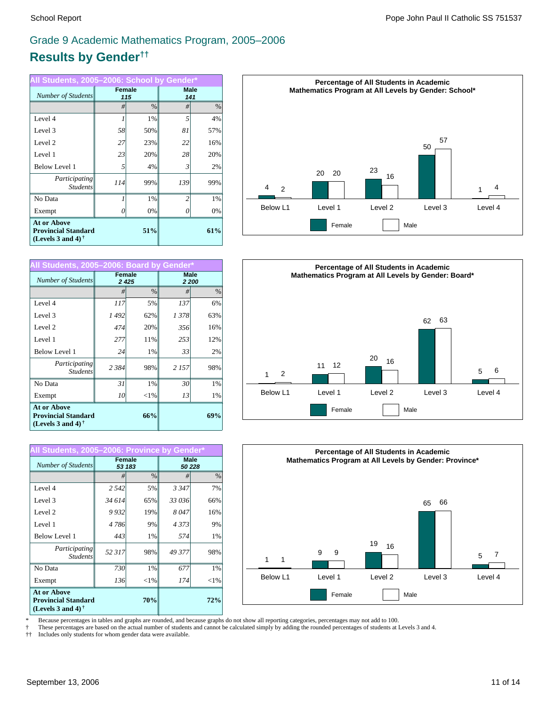# Grade 9 Academic Mathematics Program, 2005–2006

# **Results by Gender††**

| All Students, 2005-2006: School by Gender*                                     |                      |               |                |                    |
|--------------------------------------------------------------------------------|----------------------|---------------|----------------|--------------------|
| Number of Students                                                             | <b>Female</b><br>115 |               |                | <b>Male</b><br>141 |
|                                                                                | #                    | $\frac{0}{0}$ | #              | $\%$               |
| Level 4                                                                        | 1                    | 1%            | 5              | 4%                 |
| Level 3                                                                        | 58                   | 50%           | 81             | 57%                |
| Level 2                                                                        | 27                   | 23%           | 22             | 16%                |
| Level 1                                                                        | 23                   | 20%           | 28             | 20%                |
| <b>Below Level 1</b>                                                           | 5                    | 4%            | 3              | 2%                 |
| Participating<br><b>Students</b>                                               | 114                  | 99%           | 139            | 99%                |
| No Data                                                                        |                      | 1%            | $\mathfrak{D}$ | 1%                 |
| Exempt                                                                         |                      | 0%            |                | 0%                 |
| <b>At or Above</b><br><b>Provincial Standard</b><br>(Levels 3 and 4) $\dagger$ |                      | 51%           |                | 61%                |

| All Students, 2005-2006: Board by Gender*                                                                   |         |                |       |               |
|-------------------------------------------------------------------------------------------------------------|---------|----------------|-------|---------------|
| Number of Students                                                                                          |         | Female<br>2425 |       | Male<br>2 200 |
|                                                                                                             | #       | $\%$           | #     | %             |
| Level 4                                                                                                     | 117     | 5%             | 137   | 6%            |
| Level 3                                                                                                     | 1492    | 62%            | 1378  | 63%           |
| Level 2                                                                                                     | 474     | 20%            | 356   | 16%           |
| Level 1                                                                                                     | 277     | 11%            | 253   | 12%           |
| <b>Below Level 1</b>                                                                                        | 24      | 1%             | 33    | 2%            |
| Participating<br><b>Students</b>                                                                            | 2 3 8 4 | 98%            | 2 157 | 98%           |
| No Data                                                                                                     | 31      | 1%             | 30    | 1%            |
| Exempt                                                                                                      | 10      | ${<}1\%$       | 13    | 1%            |
| <b>At or Above</b><br>66%<br><b>Provincial Standard</b><br>(Levels 3 and 4) <sup><math>\dagger</math></sup> |         | 69%            |       |               |

| All Students, 2005-2006: Province by Gender*                                                         |         |                  |         |                      |
|------------------------------------------------------------------------------------------------------|---------|------------------|---------|----------------------|
| Number of Students                                                                                   |         | Female<br>53 183 |         | <b>Male</b><br>50228 |
|                                                                                                      | #       | $\%$             | #       | $\frac{0}{0}$        |
| Level 4                                                                                              | 2 5 4 2 | 5%               | 3 3 4 7 | 7%                   |
| Level 3                                                                                              | 34 614  | 65%              | 33 036  | 66%                  |
| Level 2                                                                                              | 9932    | 19%              | 8047    | 16%                  |
| Level 1                                                                                              | 4 786   | 9%               | 4373    | 9%                   |
| <b>Below Level 1</b>                                                                                 | 443     | 1%               | 574     | 1%                   |
| Participating<br><b>Students</b>                                                                     | 52 317  | 98%              | 49 377  | 98%                  |
| No Data                                                                                              | 730     | 1%               | 677     | 1%                   |
| Exempt                                                                                               | 136     | ${<}1\%$         | 174     | ${<}1\%$             |
| <b>At or Above</b><br><b>Provincial Standard</b><br>(Levels 3 and 4) <sup><math>\dagger</math></sup> |         | 70%              |         | 72%                  |







\* Because percentages in tables and graphs are rounded, and because graphs do not show all reporting categories, percentages may not add to 100.

† These percentages are based on the actual number of students and cannot be calculated simply by adding the rounded percentages of students at Levels 3 and 4.

†† Includes only students for whom gender data were available.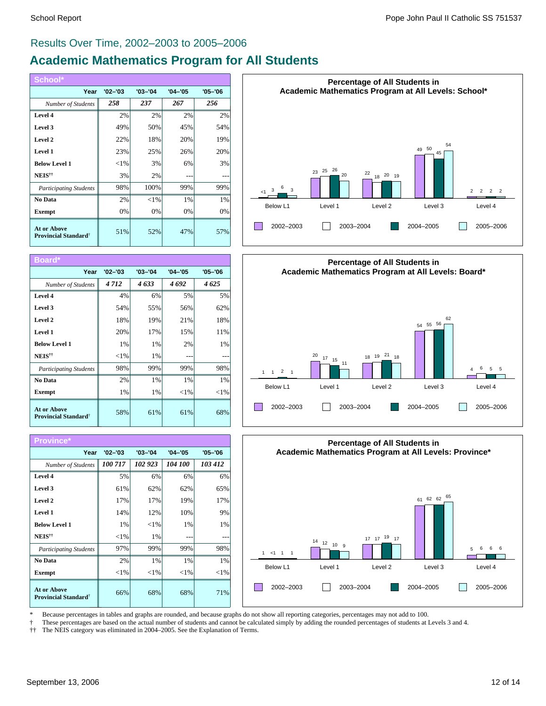### Results Over Time, 2002–2003 to 2005–2006

# **Academic Mathematics Program for All Students**

| School*                                                       |             |             |             |             |
|---------------------------------------------------------------|-------------|-------------|-------------|-------------|
| Year                                                          | $'02 - '03$ | $'03 - '04$ | $'04 - '05$ | $'05 - '06$ |
| Number of Students                                            | 258         | 237         | 267         | 256         |
| Level 4                                                       | 2%          | 2%          | 2%          | 2%          |
| Level 3                                                       | 49%         | 50%         | 45%         | 54%         |
| Level 2                                                       | 22%         | 18%         | 20%         | 19%         |
| Level 1                                                       | 23%         | 25%         | 26%         | 20%         |
| <b>Below Level 1</b>                                          | ${<}1\%$    | 3%          | 6%          | 3%          |
| NEIS <sup>††</sup>                                            | 3%          | 2%          |             |             |
| <b>Participating Students</b>                                 | 98%         | 100%        | 99%         | 99%         |
| No Data                                                       | 2%          | ${<}1\%$    | 1%          | 1%          |
| <b>Exempt</b>                                                 | 0%          | 0%          | 0%          | 0%          |
| <b>At or Above</b><br><b>Provincial Standard</b> <sup>†</sup> | 51%         | 52%         | 47%         | 57%         |

| Board*                                                        |             |             |             |             |
|---------------------------------------------------------------|-------------|-------------|-------------|-------------|
| Year                                                          | $'02 - '03$ | $'03 - '04$ | $'04 - '05$ | $'05 - '06$ |
| Number of Students                                            | 4712        | 4633        | 4692        | 4625        |
| Level 4                                                       | 4%          | 6%          | 5%          | 5%          |
| Level 3                                                       | 54%         | 55%         | 56%         | 62%         |
| Level 2                                                       | 18%         | 19%         | 21%         | 18%         |
| Level 1                                                       | 20%         | 17%         | 15%         | 11%         |
| <b>Below Level 1</b>                                          | 1%          | 1%          | 2%          | $1\%$       |
| NEIS <sup>††</sup>                                            | ${<}1%$     | 1%          |             |             |
| <b>Participating Students</b>                                 | 98%         | 99%         | 99%         | 98%         |
| No Data                                                       | 2%          | 1%          | $1\%$       | $1\%$       |
| <b>Exempt</b>                                                 | 1%          | 1%          | ${<}1\%$    | ${<}1\%$    |
| <b>At or Above</b><br><b>Provincial Standard</b> <sup>†</sup> | 58%         | 61%         | 61%         | 68%         |









\* Because percentages in tables and graphs are rounded, and because graphs do not show all reporting categories, percentages may not add to 100.

† These percentages are based on the actual number of students and cannot be calculated simply by adding the rounded percentages of students at Levels 3 and 4.

†† The NEIS category was eliminated in 2004–2005. See the Explanation of Terms.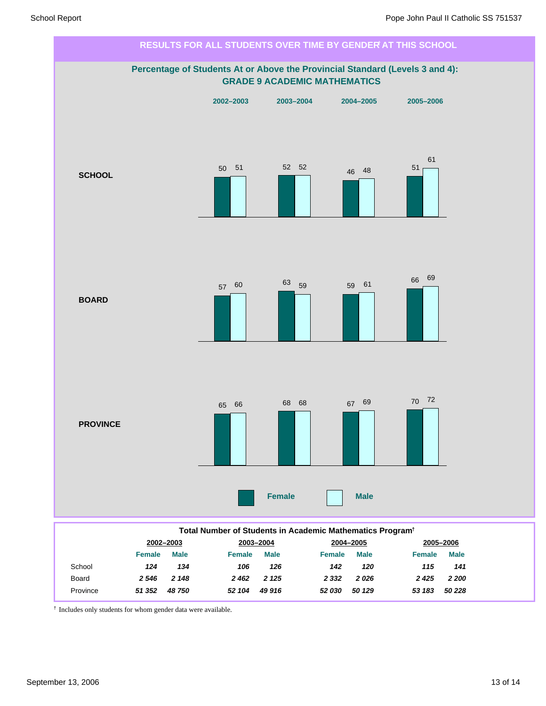

† Includes only students for whom gender data were available.